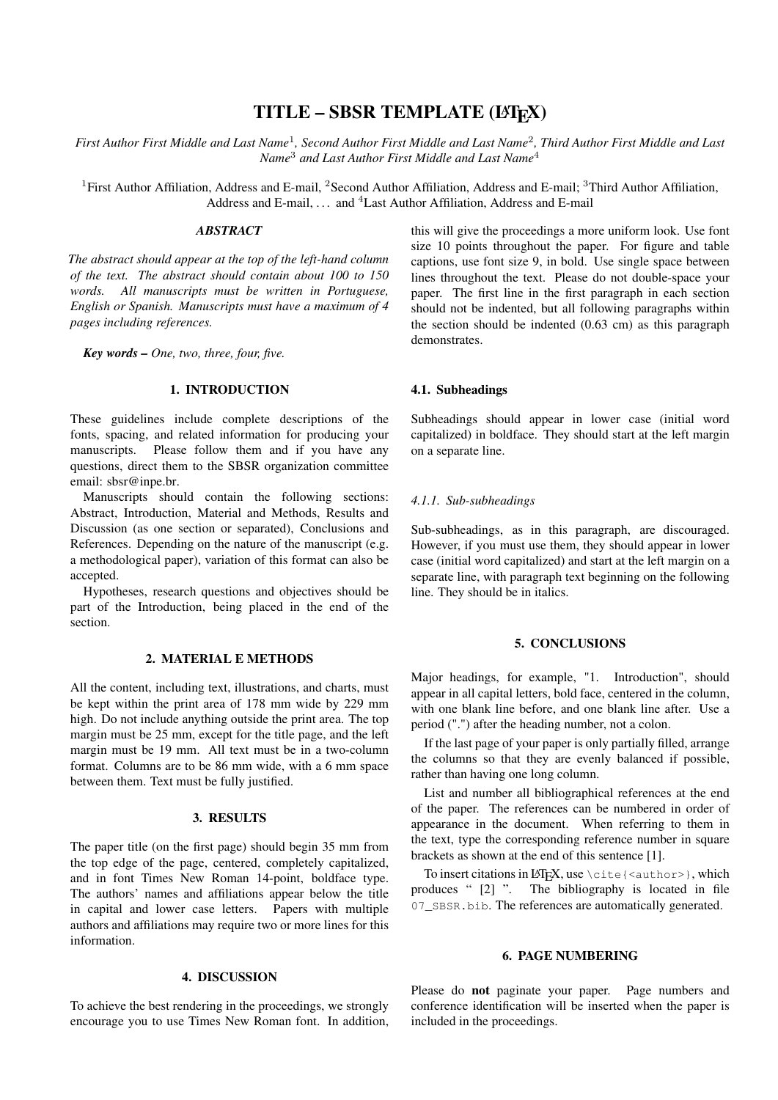# TITLE - SBSR TEMPLATE (LATEX)

First Author First Middle and Last Name<sup>1</sup>, Second Author First Middle and Last Name<sup>2</sup>, Third Author First Middle and Last *Name*<sup>3</sup> *and Last Author First Middle and Last Name*<sup>4</sup>

<sup>1</sup>First Author Affiliation, Address and E-mail, <sup>2</sup>Second Author Affiliation, Address and E-mail; <sup>3</sup>Third Author Affiliation, Address and E-mail,  $\ldots$  and <sup>4</sup> Last Author Affiliation, Address and E-mail

#### *ABSTRACT*

*The abstract should appear at the top of the left-hand column of the text. The abstract should contain about 100 to 150 words. All manuscripts must be written in Portuguese, English or Spanish. Manuscripts must have a maximum of 4 pages including references.*

*Key words – One, two, three, four, five.*

## 1. INTRODUCTION

These guidelines include complete descriptions of the fonts, spacing, and related information for producing your manuscripts. Please follow them and if you have any questions, direct them to the SBSR organization committee email: [sbsr@inpe.br.](mailto:sbsr@inpe.br)

Manuscripts should contain the following sections: Abstract, Introduction, Material and Methods, Results and Discussion (as one section or separated), Conclusions and References. Depending on the nature of the manuscript (e.g. a methodological paper), variation of this format can also be accepted.

Hypotheses, research questions and objectives should be part of the Introduction, being placed in the end of the section.

## 2. MATERIAL E METHODS

All the content, including text, illustrations, and charts, must be kept within the print area of 178 mm wide by 229 mm high. Do not include anything outside the print area. The top margin must be 25 mm, except for the title page, and the left margin must be 19 mm. All text must be in a two-column format. Columns are to be 86 mm wide, with a 6 mm space between them. Text must be fully justified.

#### 3. RESULTS

The paper title (on the first page) should begin 35 mm from the top edge of the page, centered, completely capitalized, and in font Times New Roman 14-point, boldface type. The authors' names and affiliations appear below the title in capital and lower case letters. Papers with multiple authors and affiliations may require two or more lines for this information.

### 4. DISCUSSION

To achieve the best rendering in the proceedings, we strongly encourage you to use Times New Roman font. In addition, this will give the proceedings a more uniform look. Use font size 10 points throughout the paper. For figure and table captions, use font size 9, in bold. Use single space between lines throughout the text. Please do not double-space your paper. The first line in the first paragraph in each section should not be indented, but all following paragraphs within the section should be indented (0.63 cm) as this paragraph demonstrates.

#### 4.1. Subheadings

Subheadings should appear in lower case (initial word capitalized) in boldface. They should start at the left margin on a separate line.

#### *4.1.1. Sub-subheadings*

Sub-subheadings, as in this paragraph, are discouraged. However, if you must use them, they should appear in lower case (initial word capitalized) and start at the left margin on a separate line, with paragraph text beginning on the following line. They should be in italics.

# 5. CONCLUSIONS

Major headings, for example, "1. Introduction", should appear in all capital letters, bold face, centered in the column, with one blank line before, and one blank line after. Use a period (".") after the heading number, not a colon.

If the last page of your paper is only partially filled, arrange the columns so that they are evenly balanced if possible, rather than having one long column.

List and number all bibliographical references at the end of the paper. The references can be numbered in order of appearance in the document. When referring to them in the text, type the corresponding reference number in square brackets as shown at the end of this sentence [\[1\]](#page-1-0).

To insert citations in LATEX, use \cite{<author>}, which produces " [\[2\]](#page-1-1) ". The bibliography is located in file 07\_SBSR.bib. The references are automatically generated.

#### 6. PAGE NUMBERING

Please do not paginate your paper. Page numbers and conference identification will be inserted when the paper is included in the proceedings.